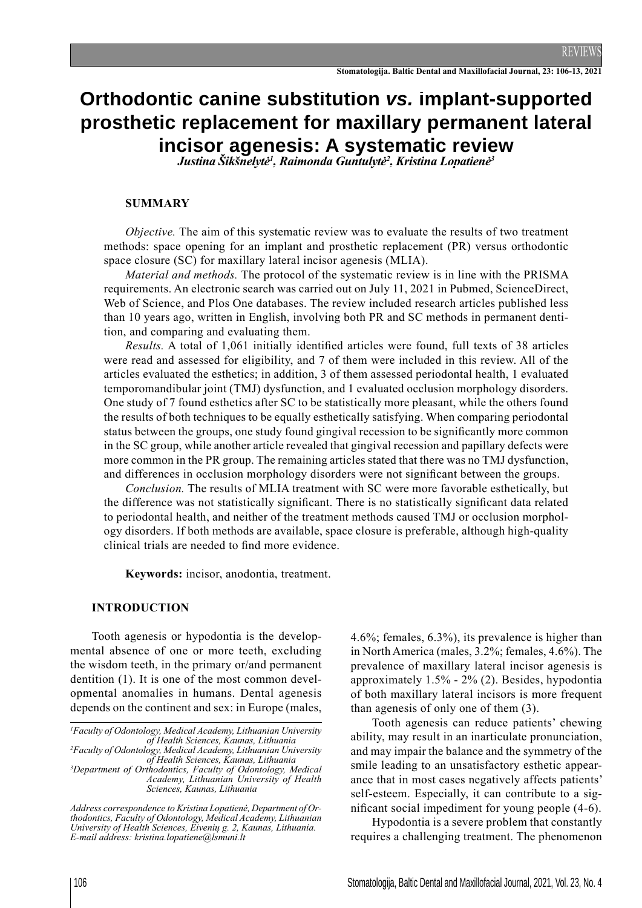# **Orthodontic canine substitution** *vs.* **implant-supported prosthetic replacement for maxillary permanent lateral incisor agenesis: A systematic review** *Justina Šikšnelytė<sup>1</sup> , Raimonda Guntulytė<sup>2</sup> , Kristina Lopatienė<sup>3</sup>*

#### **SUMMARY**

*Objective.* The aim of this systematic review was to evaluate the results of two treatment methods: space opening for an implant and prosthetic replacement (PR) versus orthodontic space closure (SC) for maxillary lateral incisor agenesis (MLIA).

*Material and methods.* The protocol of the systematic review is in line with the PRISMA requirements. An electronic search was carried out on July 11, 2021 in Pubmed, ScienceDirect, Web of Science, and Plos One databases. The review included research articles published less than 10 years ago, written in English, involving both PR and SC methods in permanent dentition, and comparing and evaluating them.

*Results.* A total of 1,061 initially identified articles were found, full texts of 38 articles were read and assessed for eligibility, and 7 of them were included in this review. All of the articles evaluated the esthetics; in addition, 3 of them assessed periodontal health, 1 evaluated temporomandibular joint (TMJ) dysfunction, and 1 evaluated occlusion morphology disorders. One study of 7 found esthetics after SC to be statistically more pleasant, while the others found the results of both techniques to be equally esthetically satisfying. When comparing periodontal status between the groups, one study found gingival recession to be significantly more common in the SC group, while another article revealed that gingival recession and papillary defects were more common in the PR group. The remaining articles stated that there was no TMJ dysfunction, and differences in occlusion morphology disorders were not significant between the groups.

*Conclusion.* The results of MLIA treatment with SC were more favorable esthetically, but the difference was not statistically significant. There is no statistically significant data related to periodontal health, and neither of the treatment methods caused TMJ or occlusion morphology disorders. If both methods are available, space closure is preferable, although high-quality clinical trials are needed to find more evidence.

**Keywords:** incisor, anodontia, treatment.

#### **INTRODUCTION**

Tooth agenesis or hypodontia is the developmental absence of one or more teeth, excluding the wisdom teeth, in the primary or/and permanent dentition (1). It is one of the most common developmental anomalies in humans. Dental agenesis depends on the continent and sex: in Europe (males,

*2 Faculty of Odontology, Medical Academy, Lithuanian University of Health Sciences, Kaunas, Lithuania*

*3 Department of Orthodontics, Faculty of Odontology, Medical Academy, Lithuanian University of Health Sciences, Kaunas, Lithuania*

*Address correspondence to Kristina Lopatienė, Department of Orthodontics, Faculty of Odontology, Medical Academy, Lithuanian University of Health Sciences, Eivenių g. 2, Kaunas, Lithuania. E-mail address: kristina.lopatiene@lsmuni.lt*

4.6%; females, 6.3%), its prevalence is higher than in North America (males, 3.2%; females, 4.6%). The prevalence of maxillary lateral incisor agenesis is approximately 1.5% - 2% (2). Besides, hypodontia of both maxillary lateral incisors is more frequent than agenesis of only one of them (3).

Tooth agenesis can reduce patients' chewing ability, may result in an inarticulate pronunciation, and may impair the balance and the symmetry of the smile leading to an unsatisfactory esthetic appearance that in most cases negatively affects patients' self-esteem. Especially, it can contribute to a significant social impediment for young people  $(4-6)$ .

Hypodontia is a severe problem that constantly requires a challenging treatment. The phenomenon

*<sup>1</sup> Faculty of Odontology, Medical Academy, Lithuanian University of Health Sciences, Kaunas, Lithuania*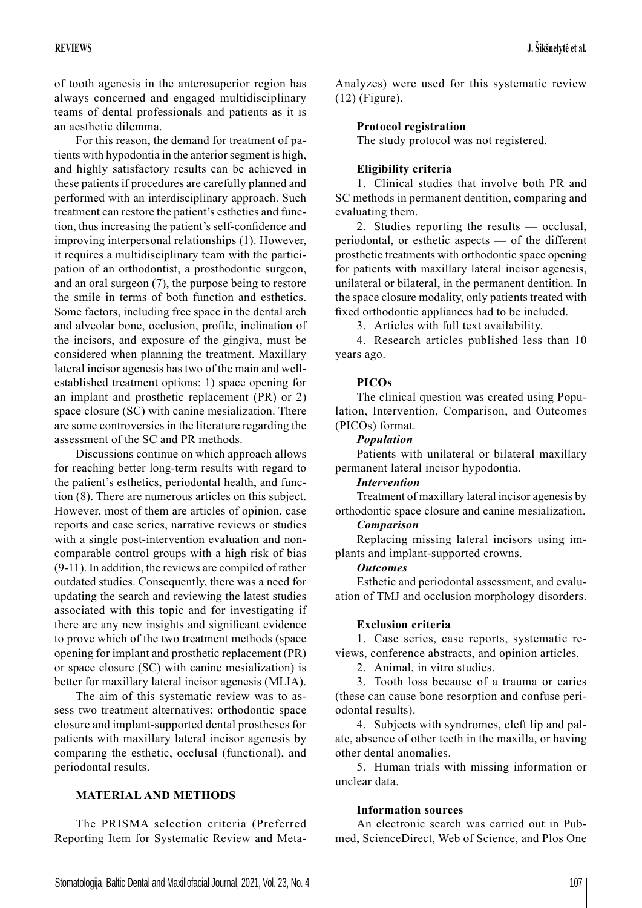of tooth agenesis in the anterosuperior region has always concerned and engaged multidisciplinary teams of dental professionals and patients as it is an aesthetic dilemma.

For this reason, the demand for treatment of patients with hypodontia in the anterior segment is high, and highly satisfactory results can be achieved in these patients if procedures are carefully planned and performed with an interdisciplinary approach. Such treatment can restore the patient's esthetics and function, thus increasing the patient's self-confidence and improving interpersonal relationships (1). However, it requires a multidisciplinary team with the participation of an orthodontist, a prosthodontic surgeon, and an oral surgeon (7), the purpose being to restore the smile in terms of both function and esthetics. Some factors, including free space in the dental arch and alveolar bone, occlusion, profile, inclination of the incisors, and exposure of the gingiva, must be considered when planning the treatment. Maxillary lateral incisor agenesis has two of the main and wellestablished treatment options: 1) space opening for an implant and prosthetic replacement (PR) or 2) space closure (SC) with canine mesialization. There are some controversies in the literature regarding the assessment of the SC and PR methods.

Discussions continue on which approach allows for reaching better long-term results with regard to the patient's esthetics, periodontal health, and function (8). There are numerous articles on this subject. However, most of them are articles of opinion, case reports and case series, narrative reviews or studies with a single post-intervention evaluation and noncomparable control groups with a high risk of bias (9-11). In addition, the reviews are compiled of rather outdated studies. Consequently, there was a need for updating the search and reviewing the latest studies associated with this topic and for investigating if there are any new insights and significant evidence to prove which of the two treatment methods (space opening for implant and prosthetic replacement (PR) or space closure (SC) with canine mesialization) is better for maxillary lateral incisor agenesis (MLIA).

The aim of this systematic review was to assess two treatment alternatives: orthodontic space closure and implant-supported dental prostheses for patients with maxillary lateral incisor agenesis by comparing the esthetic, occlusal (functional), and periodontal results.

# **MATERIAL AND METHODS**

The PRISMA selection criteria (Preferred Reporting Item for Systematic Review and MetaAnalyzes) were used for this systematic review (12) (Figure).

## **Protocol registration**

The study protocol was not registered.

## **Eligibility criteria**

1. Clinical studies that involve both PR and SC methods in permanent dentition, comparing and evaluating them.

2. Studies reporting the results — occlusal, periodontal, or esthetic aspects — of the different prosthetic treatments with orthodontic space opening for patients with maxillary lateral incisor agenesis, unilateral or bilateral, in the permanent dentition. In the space closure modality, only patients treated with fixed orthodontic appliances had to be included.

3. Articles with full text availability.

4. Research articles published less than 10 years ago.

## **PICOs**

The clinical question was created using Population, Intervention, Comparison, and Outcomes (PICOs) format.

## *Population*

Patients with unilateral or bilateral maxillary permanent lateral incisor hypodontia.

## *Intervention*

Treatment of maxillary lateral incisor agenesis by orthodontic space closure and canine mesialization.

# *Comparison*

Replacing missing lateral incisors using implants and implant-supported crowns.

#### *Outcomes*

Esthetic and periodontal assessment, and evaluation of TMJ and occlusion morphology disorders.

## **Exclusion criteria**

1. Case series, case reports, systematic reviews, conference abstracts, and opinion articles.

2. Animal, in vitro studies.

3. Tooth loss because of a trauma or caries (these can cause bone resorption and confuse periodontal results).

4. Subjects with syndromes, cleft lip and palate, absence of other teeth in the maxilla, or having other dental anomalies.

5. Human trials with missing information or unclear data.

## **Information sources**

An electronic search was carried out in Pubmed, ScienceDirect, Web of Science, and Plos One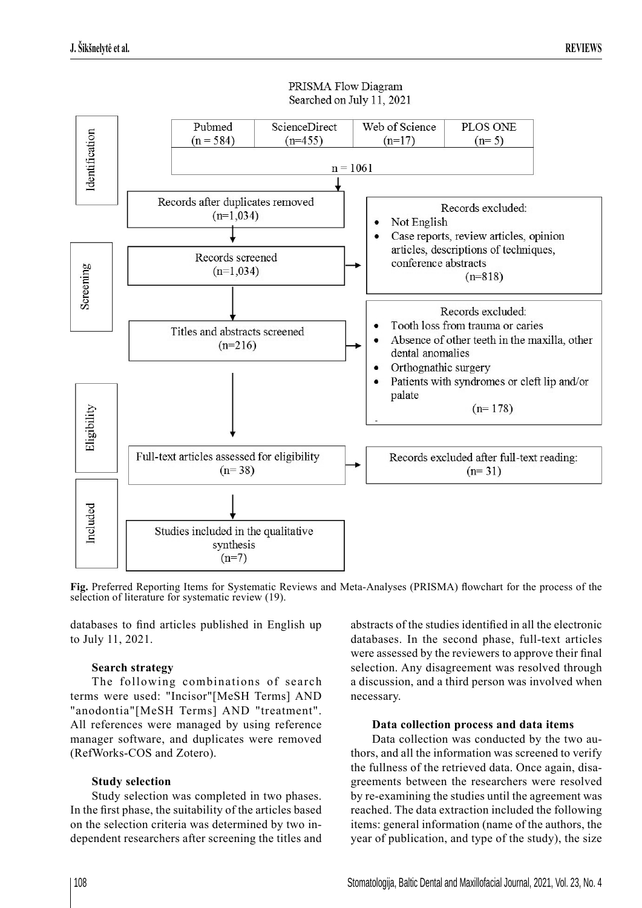

## PRISMA Flow Diagram Searched on July 11, 2021

Fig. Preferred Reporting Items for Systematic Reviews and Meta-Analyses (PRISMA) flowchart for the process of the selection of literature for systematic review (19).

databases to find articles published in English up to July 11, 2021.

## **Search strategy**

The following combinations of search terms were used: "Incisor"[MeSH Terms] AND "anodontia"[MeSH Terms] AND "treatment". All references were managed by using reference manager software, and duplicates were removed (RefWorks-COS and Zotero).

# **Study selection**

Study selection was completed in two phases. In the first phase, the suitability of the articles based on the selection criteria was determined by two independent researchers after screening the titles and

abstracts of the studies identified in all the electronic databases. In the second phase, full-text articles were assessed by the reviewers to approve their final selection. Any disagreement was resolved through a discussion, and a third person was involved when necessary.

## **Data collection process and data items**

Data collection was conducted by the two authors, and all the information was screened to verify the fullness of the retrieved data. Once again, disagreements between the researchers were resolved by re-examining the studies until the agreement was reached. The data extraction included the following items: general information (name of the authors, the year of publication, and type of the study), the size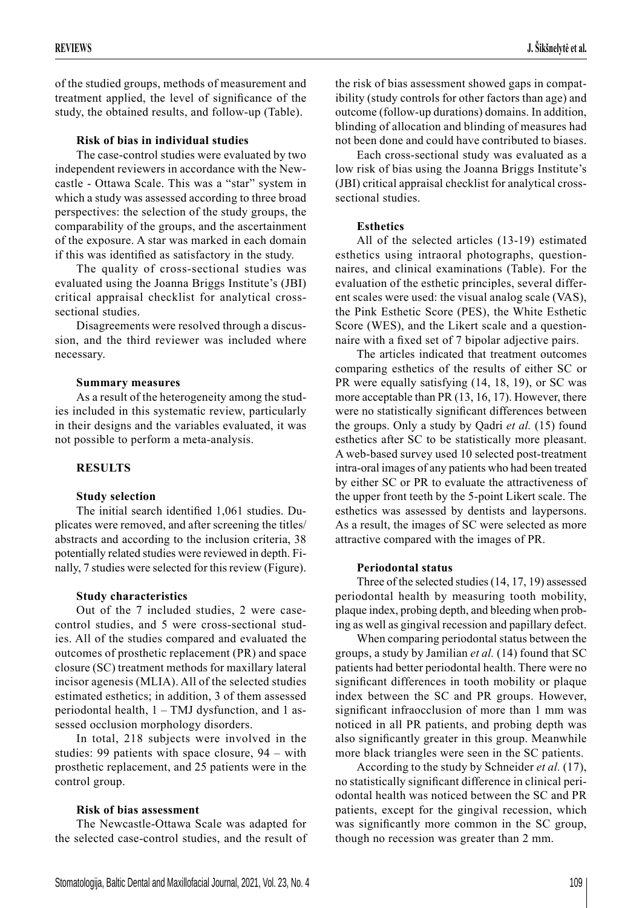of the studied groups, methods of measurement and treatment applied, the level of significance of the study, the obtained results, and follow-up (Table).

## **Risk of bias in individual studies**

The case-control studies were evaluated by two independent reviewers in accordance with the Newcastle - Ottawa Scale. This was a "star" system in which a study was assessed according to three broad perspectives: the selection of the study groups, the comparability of the groups, and the ascertainment of the exposure. A star was marked in each domain if this was identified as satisfactory in the study.

The quality of cross-sectional studies was evaluated using the Joanna Briggs Institute's (JBI) critical appraisal checklist for analytical crosssectional studies.

Disagreements were resolved through a discussion, and the third reviewer was included where necessary.

## **Summary measures**

As a result of the heterogeneity among the studies included in this systematic review, particularly in their designs and the variables evaluated, it was not possible to perform a meta-analysis.

# **RESULTS**

## **Study selection**

The initial search identified  $1,061$  studies. Duplicates were removed, and after screening the titles/ abstracts and according to the inclusion criteria, 38 potentially related studies were reviewed in depth. Finally, 7 studies were selected for this review (Figure).

## **Study characteristics**

Out of the 7 included studies, 2 were casecontrol studies, and 5 were cross-sectional studies. All of the studies compared and evaluated the outcomes of prosthetic replacement (PR) and space closure (SC) treatment methods for maxillary lateral incisor agenesis (MLIA). All of the selected studies estimated esthetics; in addition, 3 of them assessed periodontal health, 1 – TMJ dysfunction, and 1 assessed occlusion morphology disorders.

In total, 218 subjects were involved in the studies: 99 patients with space closure, 94 – with prosthetic replacement, and 25 patients were in the control group.

## **Risk of bias assessment**

The Newcastle-Ottawa Scale was adapted for the selected case-control studies, and the result of

the risk of bias assessment showed gaps in compatibility (study controls for other factors than age) and outcome (follow-up durations) domains. In addition, blinding of allocation and blinding of measures had not been done and could have contributed to biases.

Each cross-sectional study was evaluated as a low risk of bias using the Joanna Briggs Institute's (JBI) critical appraisal checklist for analytical crosssectional studies.

# **Esthetics**

All of the selected articles (13-19) estimated esthetics using intraoral photographs, questionnaires, and clinical examinations (Table). For the evaluation of the esthetic principles, several different scales were used: the visual analog scale (VAS), the Pink Esthetic Score (PES), the White Esthetic Score (WES), and the Likert scale and a questionnaire with a fixed set of 7 bipolar adjective pairs.

The articles indicated that treatment outcomes comparing esthetics of the results of either SC or PR were equally satisfying  $(14, 18, 19)$ , or SC was more acceptable than PR (13, 16, 17). However, there were no statistically significant differences between the groups. Only a study by Qadri *et al.* (15) found esthetics after SC to be statistically more pleasant. A web-based survey used 10 selected post-treatment intra-oral images of any patients who had been treated by either SC or PR to evaluate the attractiveness of the upper front teeth by the 5-point Likert scale. The esthetics was assessed by dentists and laypersons. As a result, the images of SC were selected as more attractive compared with the images of PR.

# **Periodontal status**

Three of the selected studies (14, 17, 19) assessed periodontal health by measuring tooth mobility, plaque index, probing depth, and bleeding when probing as well as gingival recession and papillary defect.

When comparing periodontal status between the groups, a study by Jamilian *et al.* (14) found that SC patients had better periodontal health. There were no significant differences in tooth mobility or plaque index between the SC and PR groups. However, significant infraocclusion of more than 1 mm was noticed in all PR patients, and probing depth was also significantly greater in this group. Meanwhile more black triangles were seen in the SC patients.

According to the study by Schneider *et al.* (17), no statistically significant difference in clinical periodontal health was noticed between the SC and PR patients, except for the gingival recession, which was significantly more common in the SC group, though no recession was greater than 2 mm.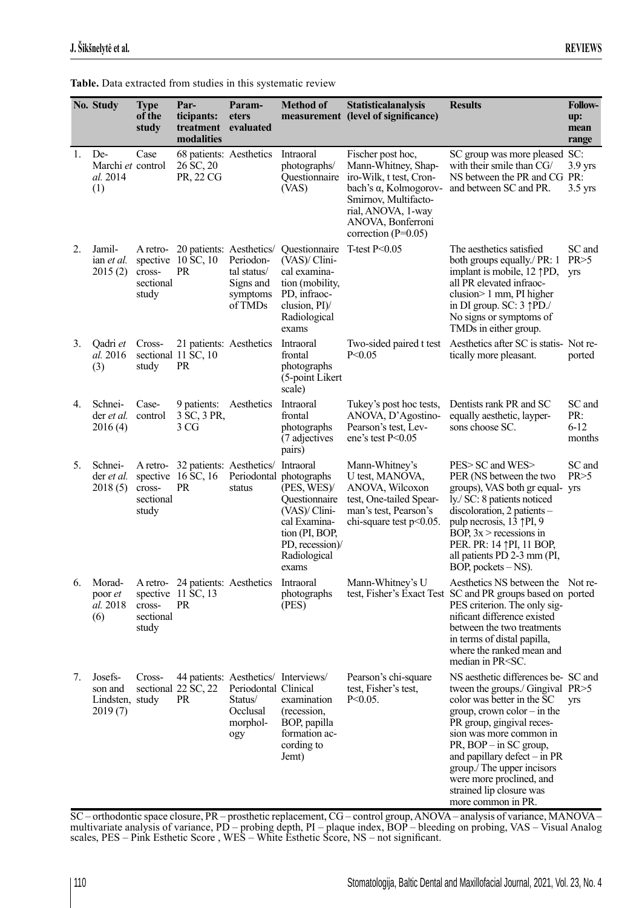|    | No. Study                                        | <b>Type</b>                              | Par-                                                               | Param-                                                                                                 | <b>Method of</b>                                                                                                                                                    | <b>Statisticalanalysis</b>                                                                                                                                                               | <b>Results</b>                                                                                                                                                                                                                                                                                                                                                              | <b>Follow-</b>                      |
|----|--------------------------------------------------|------------------------------------------|--------------------------------------------------------------------|--------------------------------------------------------------------------------------------------------|---------------------------------------------------------------------------------------------------------------------------------------------------------------------|------------------------------------------------------------------------------------------------------------------------------------------------------------------------------------------|-----------------------------------------------------------------------------------------------------------------------------------------------------------------------------------------------------------------------------------------------------------------------------------------------------------------------------------------------------------------------------|-------------------------------------|
|    |                                                  | of the<br>study                          | ticipants:<br>treatment<br>modalities                              | eters<br>evaluated                                                                                     |                                                                                                                                                                     | measurement (level of significance)                                                                                                                                                      |                                                                                                                                                                                                                                                                                                                                                                             | up:<br>mean<br>range                |
| 1. | De-<br>Marchi et control<br>al. 2014<br>(1)      | Case                                     | 68 patients: Aesthetics<br>26 SC, 20<br>PR, 22 CG                  |                                                                                                        | Intraoral<br>photographs/<br>Questionnaire<br>(VAS)                                                                                                                 | Fischer post hoc,<br>Mann-Whitney, Shap-<br>iro-Wilk, t test, Cron-<br>bach's α, Kolmogorov-<br>Smirnov, Multifacto-<br>rial, ANOVA, 1-way<br>ANOVA, Bonferroni<br>correction $(P=0.05)$ | SC group was more pleased SC:<br>with their smile than CG/<br>NS between the PR and CG PR:<br>and between SC and PR.                                                                                                                                                                                                                                                        | $3.9$ yrs<br>$3.5$ yrs              |
| 2. | Jamil-<br>ian <i>et al.</i><br>2015(2)           | A retro-<br>cross-<br>sectional<br>study | 20 patients: Aesthetics/<br>spective 10 SC, 10<br><b>PR</b>        | Periodon-<br>tal status/<br>Signs and<br>symptoms<br>of TMDs                                           | Questionnaire<br>(VAS)/ Clini-<br>cal examina-<br>tion (mobility,<br>PD, infraoc-<br>clusion, $PI$ )/<br>Radiological<br>exams                                      | T-test $P<0.05$                                                                                                                                                                          | The aesthetics satisfied<br>both groups equally./ PR: 1<br>implant is mobile, $12 \uparrow P$ D,<br>all PR elevated infraoc-<br>clusion> 1 mm, PI higher<br>in DI group. SC: 3 \PD./<br>No signs or symptoms of<br>TMDs in either group.                                                                                                                                    | SC and<br>PR > 5<br>yrs             |
| 3. | Qadri et<br>al. 2016<br>(3)                      | Cross-<br>study                          | 21 patients: Aesthetics<br>sectional 11 SC, 10<br><b>PR</b>        |                                                                                                        | Intraoral<br>frontal<br>photographs<br>(5-point Likert<br>scale)                                                                                                    | P < 0.05                                                                                                                                                                                 | Two-sided paired t test Aesthetics after SC is statis- Not re-<br>tically more pleasant.                                                                                                                                                                                                                                                                                    | ported                              |
| 4. | Schnei-<br>der <i>et al.</i><br>2016(4)          | Case-<br>control                         | 9 patients:<br>3 SC, 3 PR,<br>3 CG                                 | Aesthetics                                                                                             | Intraoral<br>frontal<br>photographs<br>(7 adjectives<br>pairs)                                                                                                      | Tukey's post hoc tests,<br>ANOVA, D'Agostino-<br>Pearson's test, Lev-<br>ene's test $P<0.05$                                                                                             | Dentists rank PR and SC<br>equally aesthetic, layper-<br>sons choose SC.                                                                                                                                                                                                                                                                                                    | SC and<br>PR:<br>$6 - 12$<br>months |
| 5. | Schnei-<br>der <i>et al.</i><br>2018(5)          | A retro-<br>cross-<br>sectional<br>study | 32 patients: Aesthetics/<br>spective 16 SC, 16<br><b>PR</b>        | status                                                                                                 | Intraoral<br>Periodontal photographs<br>(PES, WES)/<br>Questionnaire<br>(VAS)/ Clini-<br>cal Examina-<br>tion (PI, BOP,<br>PD, recession)/<br>Radiological<br>exams | Mann-Whitney's<br>U test, MANOVA,<br>ANOVA, Wilcoxon<br>test, One-tailed Spear-<br>man's test, Pearson's<br>chi-square test $p<0.05$ .                                                   | PES> SC and WES><br>PER (NS between the two<br>groups), VAS both gr equal-<br>ly./ SC: 8 patients noticed<br>$discoloration, 2 patients -$<br>pulp necrosis, 13 \tip-IPI, 9<br>BOP, $3x >$ recessions in<br>PER. PR: 14 <sup><math>\uparrow</math></sup> PI, 11 BOP,<br>all patients PD 2-3 mm (PI,<br>BOP, pockets $-$ NS).                                                | SC and<br>PR > 5<br><b>yrs</b>      |
| 6. | Morad-<br>poor et<br>al. 2018<br>(6)             | cross-<br>sectional<br>study             | A retro-24 patients: Aesthetics<br>spective 11 SC, 13<br><b>PR</b> |                                                                                                        | Intraoral<br>photographs<br>(PES)                                                                                                                                   | Mann-Whitney's U                                                                                                                                                                         | Aesthetics NS between the Not re-<br>test, Fisher's Exact Test SC and PR groups based on ported<br>PES criterion. The only sig-<br>nificant difference existed<br>between the two treatments<br>in terms of distal papilla,<br>where the ranked mean and<br>median in PR <sc.< td=""><td></td></sc.<>                                                                       |                                     |
| 7. | Josefs-<br>son and<br>Lindsten, study<br>2019(7) | Cross-                                   | sectional 22 SC, 22<br>PR                                          | 44 patients: Aesthetics/ Interviews/<br>Periodontal Clinical<br>Status/<br>Occlusal<br>morphol-<br>ogy | examination<br>(recession,<br>BOP, papilla<br>formation ac-<br>cording to<br>Jemt)                                                                                  | Pearson's chi-square<br>test, Fisher's test,<br>$P < 0.05$ .                                                                                                                             | NS aesthetic differences be- SC and<br>tween the groups./ Gingival PR>5<br>color was better in the SC<br>$group, crown\ color - in\ the$<br>PR group, gingival reces-<br>sion was more common in<br>$PR$ , BOP – in SC group,<br>and papillary defect $-$ in PR<br>group./ The upper incisors<br>were more proclined, and<br>strained lip closure was<br>more common in PR. | <b>yrs</b>                          |

**Table.** Data extracted from studies in this systematic review

SC – orthodontic space closure, PR – prosthetic replacement, CG – control group, ANOVA – analysis of variance, MANOVA – multivariate analysis of variance, PD – probing depth, PI – plaque index, BOP – bleeding on probing, VAS – Visual Analog scales, PES – Pink Esthetic Score, WES – White Esthetic Score, NS – not significant.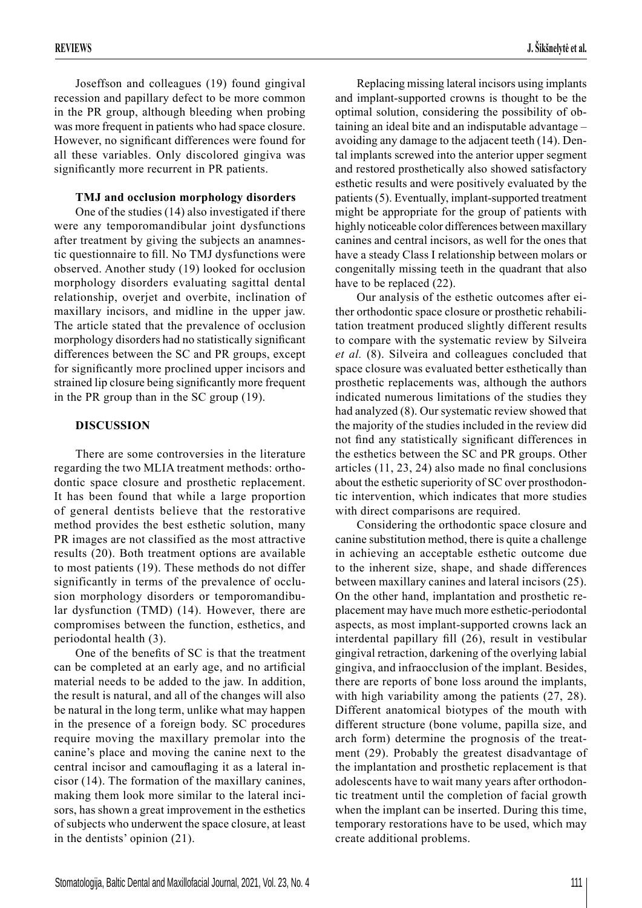Joseffson and colleagues (19) found gingival recession and papillary defect to be more common in the PR group, although bleeding when probing was more frequent in patients who had space closure. However, no significant differences were found for all these variables. Only discolored gingiva was significantly more recurrent in PR patients.

#### **TMJ and occlusion morphology disorders**

One of the studies (14) also investigated if there were any temporomandibular joint dysfunctions after treatment by giving the subjects an anamnestic questionnaire to fill. No TMJ dysfunctions were observed. Another study (19) looked for occlusion morphology disorders evaluating sagittal dental relationship, overjet and overbite, inclination of maxillary incisors, and midline in the upper jaw. The article stated that the prevalence of occlusion morphology disorders had no statistically significant differences between the SC and PR groups, except for significantly more proclined upper incisors and strained lip closure being significantly more frequent in the PR group than in the SC group (19).

#### **DISCUSSION**

There are some controversies in the literature regarding the two MLIA treatment methods: orthodontic space closure and prosthetic replacement. It has been found that while a large proportion of general dentists believe that the restorative method provides the best esthetic solution, many PR images are not classified as the most attractive results (20). Both treatment options are available to most patients (19). These methods do not differ significantly in terms of the prevalence of occlusion morphology disorders or temporomandibular dysfunction (TMD) (14). However, there are compromises between the function, esthetics, and periodontal health (3).

One of the benefits of SC is that the treatment can be completed at an early age, and no artificial material needs to be added to the jaw. In addition, the result is natural, and all of the changes will also be natural in the long term, unlike what may happen in the presence of a foreign body. SC procedures require moving the maxillary premolar into the canine's place and moving the canine next to the central incisor and camouflaging it as a lateral incisor (14). The formation of the maxillary canines, making them look more similar to the lateral incisors, has shown a great improvement in the esthetics of subjects who underwent the space closure, at least in the dentists' opinion (21).

Replacing missing lateral incisors using implants and implant-supported crowns is thought to be the optimal solution, considering the possibility of obtaining an ideal bite and an indisputable advantage – avoiding any damage to the adjacent teeth (14). Dental implants screwed into the anterior upper segment and restored prosthetically also showed satisfactory esthetic results and were positively evaluated by the patients (5). Eventually, implant-supported treatment might be appropriate for the group of patients with highly noticeable color differences between maxillary canines and central incisors, as well for the ones that have a steady Class I relationship between molars or congenitally missing teeth in the quadrant that also have to be replaced  $(22)$ .

Our analysis of the esthetic outcomes after either orthodontic space closure or prosthetic rehabilitation treatment produced slightly different results to compare with the systematic review by Silveira *et al.* (8). Silveira and colleagues concluded that space closure was evaluated better esthetically than prosthetic replacements was, although the authors indicated numerous limitations of the studies they had analyzed (8). Our systematic review showed that the majority of the studies included in the review did not find any statistically significant differences in the esthetics between the SC and PR groups. Other articles  $(11, 23, 24)$  also made no final conclusions about the esthetic superiority of SC over prosthodontic intervention, which indicates that more studies with direct comparisons are required.

Considering the orthodontic space closure and canine substitution method, there is quite a challenge in achieving an acceptable esthetic outcome due to the inherent size, shape, and shade differences between maxillary canines and lateral incisors (25). On the other hand, implantation and prosthetic replacement may have much more esthetic-periodontal aspects, as most implant-supported crowns lack an interdental papillary fill  $(26)$ , result in vestibular gingival retraction, darkening of the overlying labial gingiva, and infraocclusion of the implant. Besides, there are reports of bone loss around the implants, with high variability among the patients  $(27, 28)$ . Different anatomical biotypes of the mouth with different structure (bone volume, papilla size, and arch form) determine the prognosis of the treatment (29). Probably the greatest disadvantage of the implantation and prosthetic replacement is that adolescents have to wait many years after orthodontic treatment until the completion of facial growth when the implant can be inserted. During this time, temporary restorations have to be used, which may create additional problems.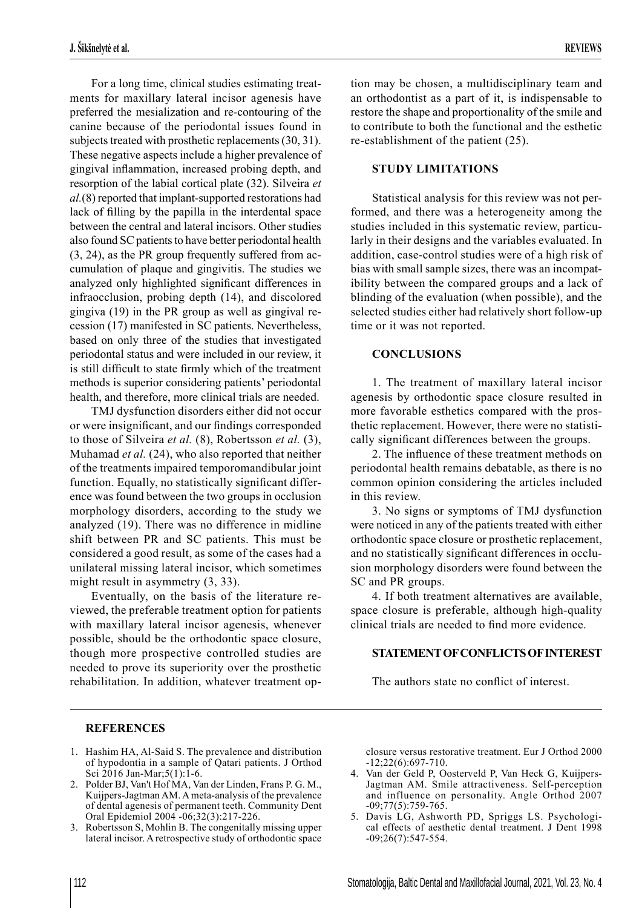For a long time, clinical studies estimating treatments for maxillary lateral incisor agenesis have preferred the mesialization and re-contouring of the canine because of the periodontal issues found in subjects treated with prosthetic replacements (30, 31). These negative aspects include a higher prevalence of gingival inflammation, increased probing depth, and resorption of the labial cortical plate (32). Silveira *et al.*(8) reported that implant-supported restorations had lack of filling by the papilla in the interdental space between the central and lateral incisors. Other studies also found SC patients to have better periodontal health (3, 24), as the PR group frequently suffered from accumulation of plaque and gingivitis. The studies we analyzed only highlighted significant differences in infraocclusion, probing depth (14), and discolored gingiva (19) in the PR group as well as gingival recession (17) manifested in SC patients. Nevertheless, based on only three of the studies that investigated periodontal status and were included in our review, it is still difficult to state firmly which of the treatment methods is superior considering patients' periodontal health, and therefore, more clinical trials are needed.

TMJ dysfunction disorders either did not occur or were insignificant, and our findings corresponded to those of Silveira *et al.* (8), Robertsson *et al.* (3), Muhamad *et al.* (24), who also reported that neither of the treatments impaired temporomandibular joint function. Equally, no statistically significant difference was found between the two groups in occlusion morphology disorders, according to the study we analyzed (19). There was no difference in midline shift between PR and SC patients. This must be considered a good result, as some of the cases had a unilateral missing lateral incisor, which sometimes might result in asymmetry (3, 33).

Eventually, on the basis of the literature reviewed, the preferable treatment option for patients with maxillary lateral incisor agenesis, whenever possible, should be the orthodontic space closure, though more prospective controlled studies are needed to prove its superiority over the prosthetic rehabilitation. In addition, whatever treatment option may be chosen, a multidisciplinary team and an orthodontist as a part of it, is indispensable to restore the shape and proportionality of the smile and to contribute to both the functional and the esthetic re-establishment of the patient (25).

#### **STUDY LIMITATIONS**

Statistical analysis for this review was not performed, and there was a heterogeneity among the studies included in this systematic review, particularly in their designs and the variables evaluated. In addition, case-control studies were of a high risk of bias with small sample sizes, there was an incompatibility between the compared groups and a lack of blinding of the evaluation (when possible), and the selected studies either had relatively short follow-up time or it was not reported.

#### **CONCLUSIONS**

1. The treatment of maxillary lateral incisor agenesis by orthodontic space closure resulted in more favorable esthetics compared with the prosthetic replacement. However, there were no statistically significant differences between the groups.

2. The influence of these treatment methods on periodontal health remains debatable, as there is no common opinion considering the articles included in this review.

3. No signs or symptoms of TMJ dysfunction were noticed in any of the patients treated with either orthodontic space closure or prosthetic replacement, and no statistically significant differences in occlusion morphology disorders were found between the SC and PR groups.

4. If both treatment alternatives are available, space closure is preferable, although high-quality clinical trials are needed to find more evidence.

## **STATEMENT OF CONFLICTS OF INTEREST**

The authors state no conflict of interest.

#### **REFERENCES**

- 1. Hashim HA, Al-Said S. The prevalence and distribution of hypodontia in a sample of Qatari patients. J Orthod Sci 2016 Jan-Mar;5(1):1-6.
- 2. Polder BJ, Van't Hof MA, Van der Linden, Frans P. G. M., Kuijpers-Jagtman AM. A meta-analysis of the prevalence of dental agenesis of permanent teeth. Community Dent Oral Epidemiol 2004 -06;32(3):217-226.
- 3. Robertsson S, Mohlin B. The congenitally missing upper lateral incisor. A retrospective study of orthodontic space

closure versus restorative treatment. Eur J Orthod 2000 -12;22(6):697-710.

- 4. Van der Geld P, Oosterveld P, Van Heck G, Kuijpers-Jagtman AM. Smile attractiveness. Self-perception and influence on personality. Angle Orthod 2007 -09;77(5):759-765.
- 5. Davis LG, Ashworth PD, Spriggs LS. Psychological effects of aesthetic dental treatment. J Dent 1998 -09;26(7):547-554.